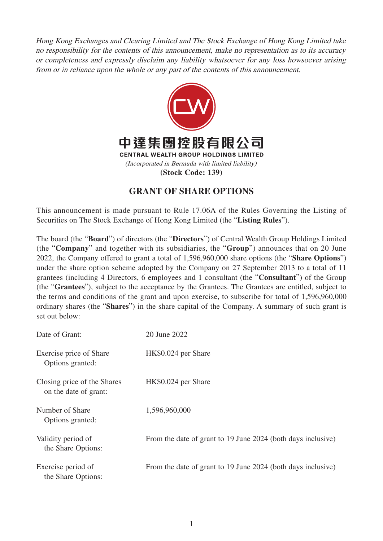Hong Kong Exchanges and Clearing Limited and The Stock Exchange of Hong Kong Limited take no responsibility for the contents of this announcement, make no representation as to its accuracy or completeness and expressly disclaim any liability whatsoever for any loss howsoever arising from or in reliance upon the whole or any part of the contents of this announcement.



## **GRANT OF SHARE OPTIONS**

This announcement is made pursuant to Rule 17.06A of the Rules Governing the Listing of Securities on The Stock Exchange of Hong Kong Limited (the "**Listing Rules**").

The board (the "**Board**") of directors (the "**Directors**") of Central Wealth Group Holdings Limited (the "**Company**" and together with its subsidiaries, the "**Group**") announces that on 20 June 2022, the Company offered to grant a total of 1,596,960,000 share options (the "**Share Options**") under the share option scheme adopted by the Company on 27 September 2013 to a total of 11 grantees (including 4 Directors, 6 employees and 1 consultant (the "**Consultant**") of the Group (the "**Grantees**"), subject to the acceptance by the Grantees. The Grantees are entitled, subject to the terms and conditions of the grant and upon exercise, to subscribe for total of 1,596,960,000 ordinary shares (the "**Shares**") in the share capital of the Company. A summary of such grant is set out below:

| Date of Grant:                                       | 20 June 2022                                                 |
|------------------------------------------------------|--------------------------------------------------------------|
| Exercise price of Share<br>Options granted:          | HK\$0.024 per Share                                          |
| Closing price of the Shares<br>on the date of grant: | HK\$0.024 per Share                                          |
| Number of Share<br>Options granted:                  | 1,596,960,000                                                |
| Validity period of<br>the Share Options:             | From the date of grant to 19 June 2024 (both days inclusive) |
| Exercise period of<br>the Share Options:             | From the date of grant to 19 June 2024 (both days inclusive) |